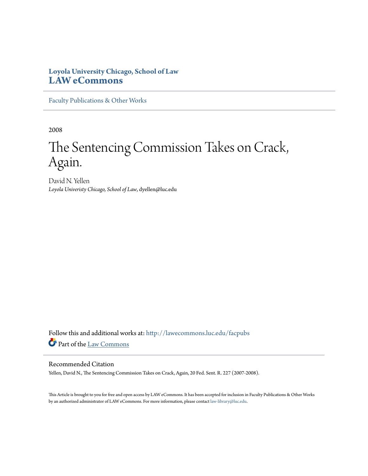## **Loyola University Chicago, School of Law [LAW eCommons](http://lawecommons.luc.edu?utm_source=lawecommons.luc.edu%2Ffacpubs%2F489&utm_medium=PDF&utm_campaign=PDFCoverPages)**

[Faculty Publications & Other Works](http://lawecommons.luc.edu/facpubs?utm_source=lawecommons.luc.edu%2Ffacpubs%2F489&utm_medium=PDF&utm_campaign=PDFCoverPages)

2008

# The Sentencing Commission Takes on Crack, Again.

David N. Yellen *Loyola Univeristy Chicago, School of Law*, dyellen@luc.edu

Follow this and additional works at: [http://lawecommons.luc.edu/facpubs](http://lawecommons.luc.edu/facpubs?utm_source=lawecommons.luc.edu%2Ffacpubs%2F489&utm_medium=PDF&utm_campaign=PDFCoverPages) Part of the [Law Commons](http://network.bepress.com/hgg/discipline/578?utm_source=lawecommons.luc.edu%2Ffacpubs%2F489&utm_medium=PDF&utm_campaign=PDFCoverPages)

### Recommended Citation

Yellen, David N., The Sentencing Commission Takes on Crack, Again, 20 Fed. Sent. R. 227 (2007-2008).

This Article is brought to you for free and open access by LAW eCommons. It has been accepted for inclusion in Faculty Publications & Other Works by an authorized administrator of LAW eCommons. For more information, please contact [law-library@luc.edu](mailto:law-library@luc.edu).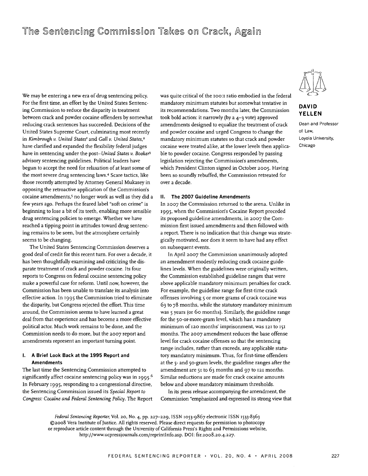## The Sentencing Commission Takes on Crack, Again

We may be entering a new era of drug sentencing policy. For the first time, an effort by the United States Sentencing Commission to reduce the disparity in treatment between crack and powder cocaine offenders by somewhat reducing crack sentences has succeeded. Decisions of the United States Supreme Court, culminating most recently in *Kimbrough v. United States'* and *Gall v. United States,2* have clarified and expanded the flexibility federal judges have in sentencing under the post- *United States v. Booker3* advisory sentencing guidelines. Political leaders have begun to accept the need for relaxation of at least some of the most severe drug sentencing laws.4 Scare tactics, like those recently attempted by Attorney General Mukasey in opposing the retroactive application of the Commission's cocaine amendments,<sup>5</sup> no longer work as well as they did a few years ago. Perhaps the feared label "soft on crime" is beginning to lose a bit of its teeth, enabling more sensible drug sentencing policies to emerge. Whether we have reached a tipping point in attitudes toward drug sentencing remains to be seen, but the atmosphere certainly seems to be changing.

The United States Sentencing Commission deserves a good deal of credit for this recent turn. For over a decade, it has been thoughtfully examining and criticizing the disparate treatment of crack and powder cocaine. Its four reports to Congress on federal cocaine sentencing policy make a powerful case for reform. Until now, however, the Commission has been unable to translate its analysis into effective action. In 1995 the Commission tried to eliminate the disparity, but Congress rejected the effort. This time around, the Commission seems to have learned a great deal from that experience and has become a more effective political actor. Much work remains to be done, and the Commission needs to do more, but the **2007** report and amendments represent an important turning point.

#### **I. A Brief Look Back at the 1995 Report and Amendments**

The last time the Sentencing Commission attempted to significantly affect cocaine sentencing policy was in 1995.<sup>6</sup> In February 1995, responding to a congressional directive, the Sentencing Commission issued its *Special Report to Congress: Cocaine and Federal Sentencing Policy.* The Report was quite critical of the 100:1 ratio embodied in the federal mandatory minimum statutes but somewhat tentative in its recommendations. Two months later, the Commission took bold action: it narrowly (by a 4-3 vote) approved amendments designed to equalize the treatment of crack and powder cocaine and urged Congress to change the mandatory minimum statutes so that crack and powder cocaine were treated alike, at the lower levels then applicable to powder cocaine. Congress responded by passing legislation rejecting the Commission's amendments, which President Clinton signed in October **2005.** Having been so soundly rebuffed, the Commission retreated for over a decade.

#### **II. The 2007 Guideline Amendments**

In **2007** the Commission returned to the arena. Unlike in **1995,** when the Commission's Cocaine Report preceded its proposed guideline amendments, in **2007** the Commission first issued amendments and then followed with a report. There is no indication that this change was strategically motivated, nor does it seem to have had any effect on subsequent events.

In April **2007** the Commission unanimously adopted an amendment modestly reducing crack cocaine guidelines levels. When the guidelines were originally written, the Commission established guideline ranges that were above applicable mandatory minimum penalties for crack. For example, the guideline range for first-time crack offenses involving **5** or more grams of crack cocaine was 63 to 78 months, while the statutory mandatory minimum was **5** years (or 6o months). Similarly, the guideline range for the 50-or-more-gram level, which has a mandatory minimum **of 120** months' imprisonment, was **121** to **I5i** months. The **2007** amendment reduces the base offense level for crack cocaine offenses so that the sentencing range includes, rather than exceeds, any applicable statutory mandatory minimum. Thus, for first-time offenders at the **5-** and 50-gram levels, the guideline ranges after the amendment are 51 to 63 months and 97 to **121** months. Similar reductions are made for crack cocaine amounts below and above mandatory minimum thresholds.

In its press release accompanying the amendment, the Commission "emphasized and expressed its strong view that

*Federal Sentencing Reporter,* Vol. 20, No. 4, PP. **227-229,** ISSN 1053-9867 electronic ISSN 1533-8363 ©2o08 Vera Institute of justice. **All** rights reserved. Please direct requests for permission to photocopy or reproduce article content through the University of California Press's Rights and Permissions website, http://www.ucpressjoumals.com/reprintlnfo.asp. DOI: fsr.zoo8.2o.4.227.



#### **DAVID YELLEN**

Dean and Professor of Law, Loyola University, Chicago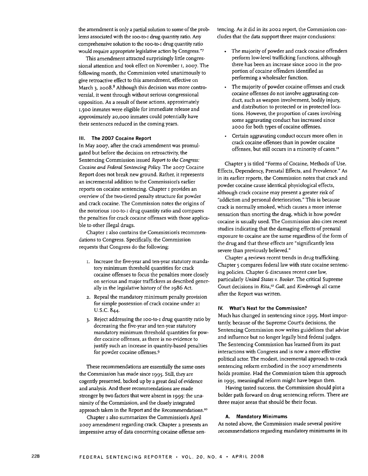the amendment is only a partial solution to some of the problems associated with the ioo-to-i drug quantity ratio. Any comprehensive solution to the ioo-to-i drug quantity ratio would require appropriate legislative action by Congress."7

This amendment attracted surprisingly little congressional attention and took effect on November **I, 2007.** The following month, the Commission voted unanimously to give retroactive effect to this amendment, effective on March 3, 2008. $8$  Although this decision was more controversial, it went through without serious congressional opposition. As a result of these actions, approximately **1,500** inmates were eligible for immediate release and approximately **20,000** inmates could potentially have their sentences reduced in the coming years.

#### **Ill. The 2007 Cocaine Report**

In May **2007,** after the crack amendment was promulgated but before the decision on retroactivity, the Sentencing Commission issued *Report to the Congress: Cocaine and Federal Sentencing Policy.* The **2007** Cocaine Report does not break new ground. Rather, it represents an incremental addition to the Commission's earlier reports on cocaine sentencing. Chapter i provides an overview of the two-tiered penalty structure for powder and crack cocaine. The Commission notes the origins of the notorious ioo-to-i drug quantity ratio and compares the penalties for crack cocaine offenses with those applicable to other illegal drugs.

Chapter i also contains the Commission's recommendations to Congress. Specifically, the Commission requests that Congress do the following:

- i. Increase the five-year and ten-year statutory mandatory minimum threshold quantities for crack cocaine offenses to focus the penalties more closely on serious and major traffickers as described generally in the legislative history of the 1986 Act.
- **2.** Repeal the mandatory minimum penalty provision for simple possession of crack cocaine under **21** U.S.C. 844.
- 3. Reject addressing the ioo-to-i drug quantity ratio by decreasing the five-year and ten-year statutory mandatory minimum threshold quantities for powder cocaine offenses, as there is no evidence to justify such an increase in quantity-based penalties for powder cocaine offenses.9

These recommendations are essentially the same ones the Commission has made since **1995.** Still, they are cogently presented, backed up by a great deal of evidence and analysis. And these recommendations are made stronger by two factors that were absent in 1995: the unanimity of the Commission, and the closely integrated approach taken in the Report and the Recommendations."

Chapter I also summarizes the Commission's April **2007** amendment regarding crack. Chapter **2** presents an impressive array of data concerning cocaine offense sentencing. As it did in its **2002** report, the Commission concludes that the data support three major conclusions:

- The majority of powder and crack cocaine offenders perform low-level trafficking functions, although there has been an increase since **2000** in the proportion of cocaine offenders identified as performing a wholesaler function.
- The majority of powder cocaine offenses and crack cocaine offenses do not involve aggravating conduct, such as weapon involvement, bodily injury, and distribution to protected or in protected locations. However, the proportion of cases involving some aggravating conduct has increased since **2000** for both types of cocaine offenses.
- Certain aggravating conduct occurs more often in crack cocaine offenses than in powder cocaine offenses, but still occurs in a minority of cases."

Chapter 3 is tiled "Forms of Cocaine, Methods of Use, Effects, Dependency, Prenatal Effects, and Prevalence." As in its earlier reports, the Commission notes that crack and powder cocaine cause identical physiological effects, although crack cocaine may present a greater risk of "addiction and personal deterioration." This is because crack is normally smoked, which causes a more intense sensation than snorting the drug, which is how powder cocaine is usually used. The Commission also cites recent studies indicating that the damaging effects of prenatal exposure to cocaine are the same regardless of the form of the drug and that these effects are "significantly less severe than previously believed."

Chapter 4 reviews recent trends in drug trafficking. Chapter **5** compares federal law with state cocaine sentencing policies. Chapter 6 discusses recent case law, particularly *United States v. Booker.* The critical Supreme Court decisions in *Rita*,<sup>12</sup> Gall, and *Kimbrough* all came after the Report was written.

#### IV. **What's Next for the Commission?**

Much has changed in sentencing since 1995. Most importantly, because of the Supreme Court's decisions, the Sentencing Commission now writes guidelines that advise and influence but no longer legally bind federal judges. The Sentencing Commission has learned from its past interactions with Congress and is now a more effective political actor. The modest, incremental approach to crack sentencing reform embodied in the **2007** amendments holds promise. Had the Commission taken this approach in 1995, meaningful reform might have begun then.

Having tasted success, the Commission should plot a bolder path forward on drug sentencing reform. There are three major areas that should be their focus.

#### **A. Mandatory Minimums**

As noted above, the Commission made several positive recommendations regarding mandatory minimums in its